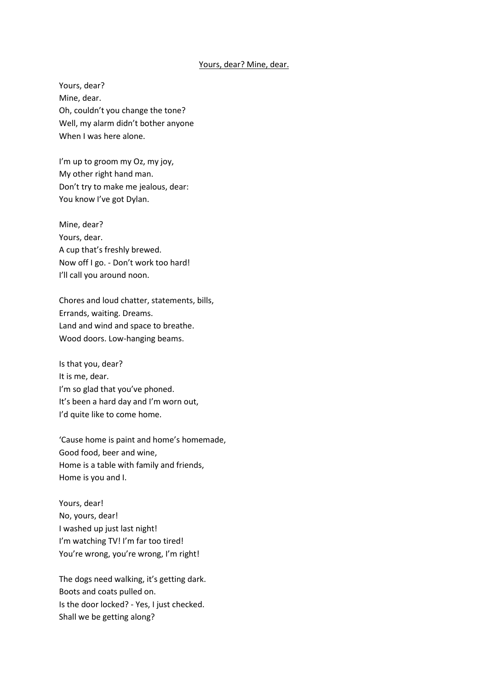## Yours, dear? Mine, dear.

Yours, dear? Mine, dear. Oh, couldn't you change the tone? Well, my alarm didn't bother anyone When I was here alone.

I'm up to groom my Oz, my joy, My other right hand man. Don't try to make me jealous, dear: You know I've got Dylan.

Mine, dear? Yours, dear. A cup that's freshly brewed. Now off I go. - Don't work too hard! I'll call you around noon.

Chores and loud chatter, statements, bills, Errands, waiting. Dreams. Land and wind and space to breathe. Wood doors. Low-hanging beams.

Is that you, dear? It is me, dear. I'm so glad that you've phoned. It's been a hard day and I'm worn out, I'd quite like to come home.

'Cause home is paint and home's homemade, Good food, beer and wine, Home is a table with family and friends, Home is you and I.

Yours, dear! No, yours, dear! I washed up just last night! I'm watching TV! I'm far too tired! You're wrong, you're wrong, I'm right!

The dogs need walking, it's getting dark. Boots and coats pulled on. Is the door locked? - Yes, I just checked. Shall we be getting along?